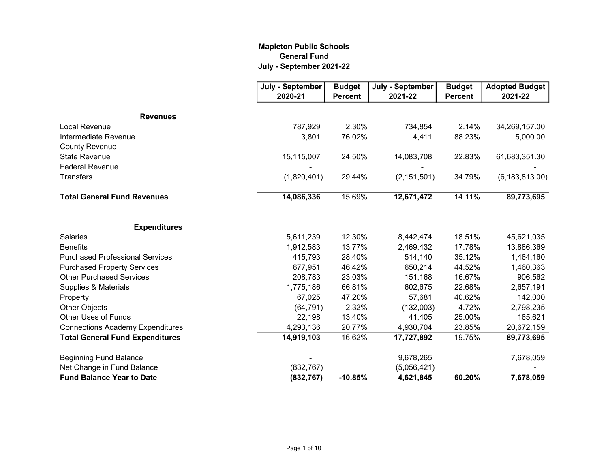## Mapleton Public Schools General Fund July - September 2021-22

|                                         | July - September | <b>Budget</b>  | July - September | <b>Budget</b>  | <b>Adopted Budget</b> |
|-----------------------------------------|------------------|----------------|------------------|----------------|-----------------------|
|                                         | 2020-21          | <b>Percent</b> | 2021-22          | <b>Percent</b> | 2021-22               |
| <b>Revenues</b>                         |                  |                |                  |                |                       |
| <b>Local Revenue</b>                    | 787,929          | 2.30%          | 734,854          | 2.14%          | 34,269,157.00         |
| Intermediate Revenue                    | 3,801            | 76.02%         | 4,411            | 88.23%         | 5,000.00              |
| <b>County Revenue</b>                   |                  |                |                  |                |                       |
| <b>State Revenue</b>                    | 15,115,007       | 24.50%         | 14,083,708       | 22.83%         | 61,683,351.30         |
| <b>Federal Revenue</b>                  |                  |                |                  |                |                       |
| <b>Transfers</b>                        | (1,820,401)      | 29.44%         | (2, 151, 501)    | 34.79%         | (6, 183, 813.00)      |
| <b>Total General Fund Revenues</b>      | 14,086,336       | 15.69%         | 12,671,472       | 14.11%         | 89,773,695            |
| <b>Expenditures</b>                     |                  |                |                  |                |                       |
| <b>Salaries</b>                         | 5,611,239        | 12.30%         | 8,442,474        | 18.51%         | 45,621,035            |
| <b>Benefits</b>                         | 1,912,583        | 13.77%         | 2,469,432        | 17.78%         | 13,886,369            |
| <b>Purchased Professional Services</b>  | 415,793          | 28.40%         | 514,140          | 35.12%         | 1,464,160             |
| <b>Purchased Property Services</b>      | 677,951          | 46.42%         | 650,214          | 44.52%         | 1,460,363             |
| <b>Other Purchased Services</b>         | 208,783          | 23.03%         | 151,168          | 16.67%         | 906,562               |
| Supplies & Materials                    | 1,775,186        | 66.81%         | 602,675          | 22.68%         | 2,657,191             |
| Property                                | 67,025           | 47.20%         | 57,681           | 40.62%         | 142,000               |
| <b>Other Objects</b>                    | (64, 791)        | $-2.32%$       | (132,003)        | $-4.72%$       | 2,798,235             |
| Other Uses of Funds                     | 22,198           | 13.40%         | 41,405           | 25.00%         | 165,621               |
| <b>Connections Academy Expenditures</b> | 4,293,136        | 20.77%         | 4,930,704        | 23.85%         | 20,672,159            |
| <b>Total General Fund Expenditures</b>  | 14,919,103       | 16.62%         | 17,727,892       | 19.75%         | 89,773,695            |
| <b>Beginning Fund Balance</b>           |                  |                | 9,678,265        |                | 7,678,059             |
| Net Change in Fund Balance              | (832, 767)       |                | (5,056,421)      |                |                       |
| <b>Fund Balance Year to Date</b>        | (832, 767)       | $-10.85%$      | 4,621,845        | 60.20%         | 7,678,059             |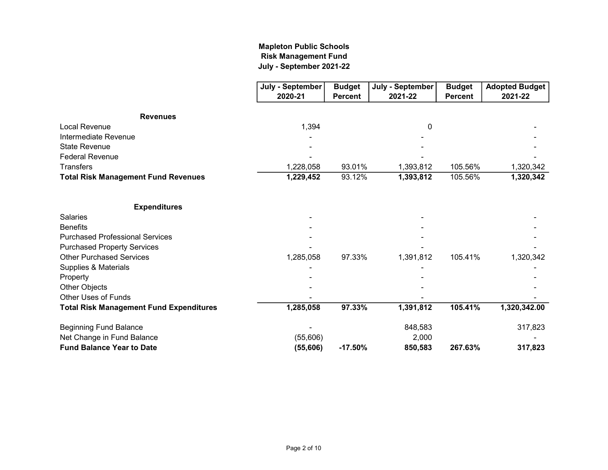## July - September 2021-22 Mapleton Public Schools Risk Management Fund

|                                                | July - September | <b>Budget</b>  | July - September | <b>Budget</b>  | <b>Adopted Budget</b> |
|------------------------------------------------|------------------|----------------|------------------|----------------|-----------------------|
|                                                | 2020-21          | <b>Percent</b> | 2021-22          | <b>Percent</b> | 2021-22               |
|                                                |                  |                |                  |                |                       |
| <b>Revenues</b>                                |                  |                |                  |                |                       |
| <b>Local Revenue</b>                           | 1,394            |                | 0                |                |                       |
| Intermediate Revenue                           |                  |                |                  |                |                       |
| <b>State Revenue</b>                           |                  |                |                  |                |                       |
| <b>Federal Revenue</b>                         |                  |                |                  |                |                       |
| <b>Transfers</b>                               | 1,228,058        | 93.01%         | 1,393,812        | 105.56%        | 1,320,342             |
| <b>Total Risk Management Fund Revenues</b>     | 1,229,452        | 93.12%         | 1,393,812        | 105.56%        | 1,320,342             |
| <b>Expenditures</b>                            |                  |                |                  |                |                       |
| <b>Salaries</b>                                |                  |                |                  |                |                       |
| <b>Benefits</b>                                |                  |                |                  |                |                       |
| <b>Purchased Professional Services</b>         |                  |                |                  |                |                       |
| <b>Purchased Property Services</b>             |                  |                |                  |                |                       |
| <b>Other Purchased Services</b>                | 1,285,058        | 97.33%         | 1,391,812        | 105.41%        | 1,320,342             |
| Supplies & Materials                           |                  |                |                  |                |                       |
| Property                                       |                  |                |                  |                |                       |
| Other Objects                                  |                  |                |                  |                |                       |
| <b>Other Uses of Funds</b>                     |                  |                |                  |                |                       |
|                                                |                  | 97.33%         |                  | 105.41%        |                       |
| <b>Total Risk Management Fund Expenditures</b> | 1,285,058        |                | 1,391,812        |                | 1,320,342.00          |
| <b>Beginning Fund Balance</b>                  |                  |                | 848,583          |                | 317,823               |
| Net Change in Fund Balance                     | (55,606)         |                | 2,000            |                |                       |
| <b>Fund Balance Year to Date</b>               | (55,606)         | $-17.50%$      | 850,583          | 267.63%        | 317,823               |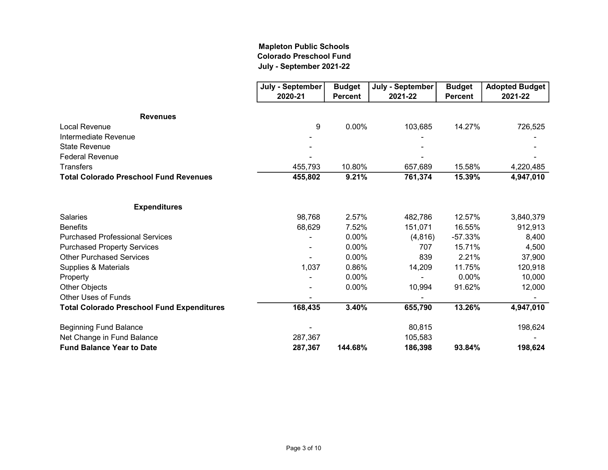## Mapleton Public Schools Colorado Preschool Fund July - September 2021-22

|                                                   | July - September | <b>Budget</b>  | July - September | <b>Budget</b>  | <b>Adopted Budget</b> |
|---------------------------------------------------|------------------|----------------|------------------|----------------|-----------------------|
|                                                   | 2020-21          | <b>Percent</b> | 2021-22          | <b>Percent</b> | 2021-22               |
| <b>Revenues</b>                                   |                  |                |                  |                |                       |
| <b>Local Revenue</b>                              | 9                | 0.00%          | 103,685          | 14.27%         | 726,525               |
| Intermediate Revenue                              |                  |                |                  |                |                       |
| <b>State Revenue</b>                              |                  |                |                  |                |                       |
| <b>Federal Revenue</b>                            |                  |                |                  |                |                       |
| <b>Transfers</b>                                  | 455,793          | 10.80%         | 657,689          | 15.58%         | 4,220,485             |
| <b>Total Colorado Preschool Fund Revenues</b>     | 455,802          | 9.21%          | 761,374          | 15.39%         | 4,947,010             |
| <b>Expenditures</b>                               |                  |                |                  |                |                       |
| <b>Salaries</b>                                   | 98,768           | 2.57%          | 482,786          | 12.57%         | 3,840,379             |
| <b>Benefits</b>                                   | 68,629           | 7.52%          | 151,071          | 16.55%         | 912,913               |
| <b>Purchased Professional Services</b>            |                  | 0.00%          | (4, 816)         | $-57.33%$      | 8,400                 |
| <b>Purchased Property Services</b>                |                  | 0.00%          | 707              | 15.71%         | 4,500                 |
| <b>Other Purchased Services</b>                   |                  | 0.00%          | 839              | 2.21%          | 37,900                |
| Supplies & Materials                              | 1,037            | 0.86%          | 14,209           | 11.75%         | 120,918               |
| Property                                          |                  | 0.00%          |                  | $0.00\%$       | 10,000                |
| <b>Other Objects</b>                              |                  | 0.00%          | 10,994           | 91.62%         | 12,000                |
| <b>Other Uses of Funds</b>                        |                  |                |                  |                |                       |
| <b>Total Colorado Preschool Fund Expenditures</b> | 168,435          | 3.40%          | 655,790          | 13.26%         | 4,947,010             |
| <b>Beginning Fund Balance</b>                     |                  |                | 80,815           |                | 198,624               |
| Net Change in Fund Balance                        | 287,367          |                | 105,583          |                |                       |
| <b>Fund Balance Year to Date</b>                  | 287,367          | 144.68%        | 186,398          | 93.84%         | 198,624               |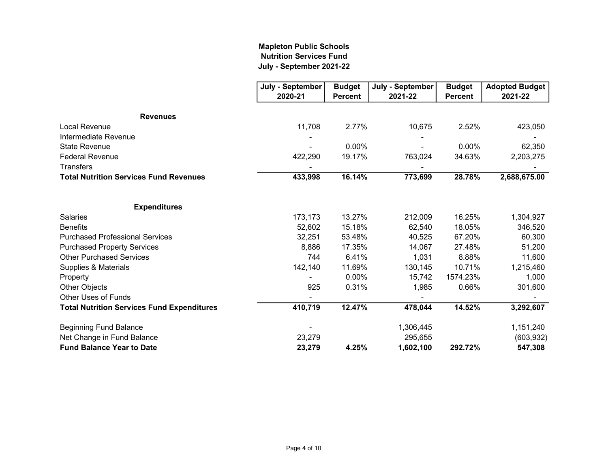## Mapleton Public Schools Nutrition Services Fund July - September 2021-22

|                                                   | July - September | <b>Budget</b>  | July - September | <b>Budget</b>  | <b>Adopted Budget</b> |
|---------------------------------------------------|------------------|----------------|------------------|----------------|-----------------------|
|                                                   | 2020-21          | <b>Percent</b> | 2021-22          | <b>Percent</b> | 2021-22               |
| <b>Revenues</b>                                   |                  |                |                  |                |                       |
| Local Revenue                                     | 11,708           | 2.77%          | 10,675           | 2.52%          | 423,050               |
| Intermediate Revenue                              |                  |                |                  |                |                       |
| <b>State Revenue</b>                              |                  | 0.00%          |                  | 0.00%          | 62,350                |
| <b>Federal Revenue</b>                            | 422,290          | 19.17%         | 763,024          | 34.63%         | 2,203,275             |
| <b>Transfers</b>                                  |                  |                |                  |                |                       |
| <b>Total Nutrition Services Fund Revenues</b>     | 433,998          | 16.14%         | 773,699          | 28.78%         | 2,688,675.00          |
| <b>Expenditures</b>                               |                  |                |                  |                |                       |
| <b>Salaries</b>                                   | 173,173          | 13.27%         | 212,009          | 16.25%         | 1,304,927             |
| <b>Benefits</b>                                   | 52,602           | 15.18%         | 62,540           | 18.05%         | 346,520               |
| <b>Purchased Professional Services</b>            | 32,251           | 53.48%         | 40,525           | 67.20%         | 60,300                |
| <b>Purchased Property Services</b>                | 8,886            | 17.35%         | 14,067           | 27.48%         | 51,200                |
| <b>Other Purchased Services</b>                   | 744              | 6.41%          | 1,031            | 8.88%          | 11,600                |
| Supplies & Materials                              | 142,140          | 11.69%         | 130,145          | 10.71%         | 1,215,460             |
| Property                                          |                  | 0.00%          | 15,742           | 1574.23%       | 1,000                 |
| Other Objects                                     | 925              | 0.31%          | 1,985            | 0.66%          | 301,600               |
| <b>Other Uses of Funds</b>                        |                  |                |                  |                |                       |
| <b>Total Nutrition Services Fund Expenditures</b> | 410,719          | 12.47%         | 478,044          | 14.52%         | 3,292,607             |
| <b>Beginning Fund Balance</b>                     |                  |                | 1,306,445        |                | 1,151,240             |
| Net Change in Fund Balance                        | 23,279           |                | 295,655          |                | (603, 932)            |
| <b>Fund Balance Year to Date</b>                  | 23,279           | 4.25%          | 1,602,100        | 292.72%        | 547,308               |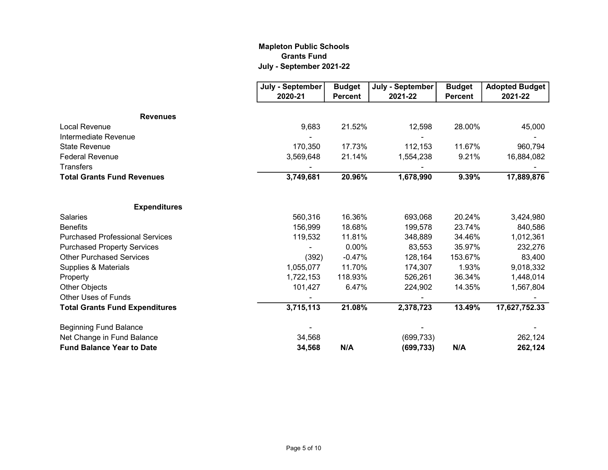## Mapleton Public Schools Grants Fund July - September 2021-22

|                                        | July - September | <b>Budget</b>  | July - September | <b>Budget</b>  | <b>Adopted Budget</b> |
|----------------------------------------|------------------|----------------|------------------|----------------|-----------------------|
|                                        | 2020-21          | <b>Percent</b> | 2021-22          | <b>Percent</b> | 2021-22               |
| <b>Revenues</b>                        |                  |                |                  |                |                       |
| <b>Local Revenue</b>                   | 9,683            | 21.52%         | 12,598           | 28.00%         | 45,000                |
| Intermediate Revenue                   |                  |                |                  |                |                       |
| <b>State Revenue</b>                   | 170,350          | 17.73%         | 112,153          | 11.67%         | 960,794               |
| <b>Federal Revenue</b>                 | 3,569,648        | 21.14%         | 1,554,238        | 9.21%          | 16,884,082            |
| <b>Transfers</b>                       |                  |                |                  |                |                       |
| <b>Total Grants Fund Revenues</b>      | 3,749,681        | 20.96%         | 1,678,990        | 9.39%          | 17,889,876            |
| <b>Expenditures</b>                    |                  |                |                  |                |                       |
| <b>Salaries</b>                        | 560,316          | 16.36%         | 693,068          | 20.24%         | 3,424,980             |
| <b>Benefits</b>                        | 156,999          | 18.68%         | 199,578          | 23.74%         | 840,586               |
| <b>Purchased Professional Services</b> | 119,532          | 11.81%         | 348,889          | 34.46%         | 1,012,361             |
| <b>Purchased Property Services</b>     |                  | 0.00%          | 83,553           | 35.97%         | 232,276               |
| <b>Other Purchased Services</b>        | (392)            | $-0.47%$       | 128,164          | 153.67%        | 83,400                |
| Supplies & Materials                   | 1,055,077        | 11.70%         | 174,307          | 1.93%          | 9,018,332             |
| Property                               | 1,722,153        | 118.93%        | 526,261          | 36.34%         | 1,448,014             |
| Other Objects                          | 101,427          | 6.47%          | 224,902          | 14.35%         | 1,567,804             |
| <b>Other Uses of Funds</b>             |                  |                |                  |                |                       |
| <b>Total Grants Fund Expenditures</b>  | 3,715,113        | 21.08%         | 2,378,723        | 13.49%         | 17,627,752.33         |
| <b>Beginning Fund Balance</b>          |                  |                |                  |                |                       |
| Net Change in Fund Balance             | 34,568           |                | (699, 733)       |                | 262,124               |
| <b>Fund Balance Year to Date</b>       | 34,568           | N/A            | (699, 733)       | N/A            | 262,124               |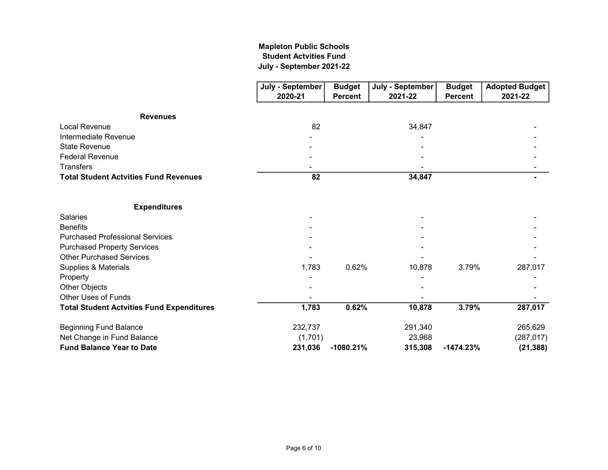## July - September 2021-22 Mapleton Public Schools Student Actvities Fund

|                                                  | July - September | <b>Budget</b>  | July - September | <b>Budget</b>  | <b>Adopted Budget</b> |
|--------------------------------------------------|------------------|----------------|------------------|----------------|-----------------------|
|                                                  | 2020-21          | <b>Percent</b> | 2021-22          | <b>Percent</b> | 2021-22               |
| <b>Revenues</b>                                  |                  |                |                  |                |                       |
| <b>Local Revenue</b>                             | 82               |                | 34,847           |                |                       |
| Intermediate Revenue                             |                  |                |                  |                |                       |
| <b>State Revenue</b>                             |                  |                |                  |                |                       |
| <b>Federal Revenue</b>                           |                  |                |                  |                |                       |
| Transfers                                        |                  |                |                  |                |                       |
| <b>Total Student Actvities Fund Revenues</b>     | 82               |                | 34,847           |                |                       |
| <b>Expenditures</b>                              |                  |                |                  |                |                       |
| <b>Salaries</b>                                  |                  |                |                  |                |                       |
| <b>Benefits</b>                                  |                  |                |                  |                |                       |
| <b>Purchased Professional Services</b>           |                  |                |                  |                |                       |
| <b>Purchased Property Services</b>               |                  |                |                  |                |                       |
| <b>Other Purchased Services</b>                  |                  |                |                  |                |                       |
| Supplies & Materials                             | 1,783            | 0.62%          | 10,878           | 3.79%          | 287,017               |
| Property                                         |                  |                |                  |                |                       |
| Other Objects                                    |                  |                |                  |                |                       |
| Other Uses of Funds                              |                  |                |                  |                |                       |
| <b>Total Student Actvities Fund Expenditures</b> | 1,783            | 0.62%          | 10,878           | 3.79%          | 287,017               |
| <b>Beginning Fund Balance</b>                    | 232,737          |                | 291,340          |                | 265,629               |
| Net Change in Fund Balance                       | (1,701)          |                | 23,968           |                | (287, 017)            |
| <b>Fund Balance Year to Date</b>                 | 231,036          | $-1080.21%$    | 315,308          | $-1474.23%$    | (21, 388)             |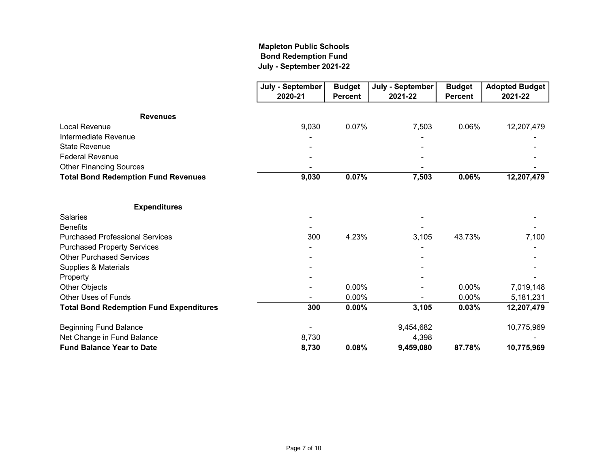## Mapleton Public Schools Bond Redemption Fund July - September 2021-22

|                                                | July - September | <b>Budget</b>  | July - September | <b>Budget</b>  | <b>Adopted Budget</b> |
|------------------------------------------------|------------------|----------------|------------------|----------------|-----------------------|
|                                                | 2020-21          | <b>Percent</b> | 2021-22          | <b>Percent</b> | 2021-22               |
| <b>Revenues</b>                                |                  |                |                  |                |                       |
| <b>Local Revenue</b>                           | 9,030            | 0.07%          | 7,503            | 0.06%          | 12,207,479            |
| Intermediate Revenue                           |                  |                |                  |                |                       |
| <b>State Revenue</b>                           |                  |                |                  |                |                       |
| <b>Federal Revenue</b>                         |                  |                |                  |                |                       |
| <b>Other Financing Sources</b>                 |                  |                |                  |                |                       |
| <b>Total Bond Redemption Fund Revenues</b>     | 9,030            | 0.07%          | 7,503            | 0.06%          | 12,207,479            |
| <b>Expenditures</b>                            |                  |                |                  |                |                       |
| Salaries                                       |                  |                |                  |                |                       |
| <b>Benefits</b>                                |                  |                |                  |                |                       |
| <b>Purchased Professional Services</b>         | 300              | 4.23%          | 3,105            | 43.73%         | 7,100                 |
| <b>Purchased Property Services</b>             |                  |                |                  |                |                       |
| <b>Other Purchased Services</b>                |                  |                |                  |                |                       |
| Supplies & Materials                           |                  |                |                  |                |                       |
| Property                                       |                  |                |                  |                |                       |
| Other Objects                                  |                  | 0.00%          |                  | 0.00%          | 7,019,148             |
| <b>Other Uses of Funds</b>                     |                  | 0.00%          |                  | 0.00%          | 5,181,231             |
| <b>Total Bond Redemption Fund Expenditures</b> | 300              | 0.00%          | 3,105            | 0.03%          | 12,207,479            |
| <b>Beginning Fund Balance</b>                  |                  |                | 9,454,682        |                | 10,775,969            |
| Net Change in Fund Balance                     | 8,730            |                | 4,398            |                |                       |
| <b>Fund Balance Year to Date</b>               | 8,730            | 0.08%          | 9,459,080        | 87.78%         | 10,775,969            |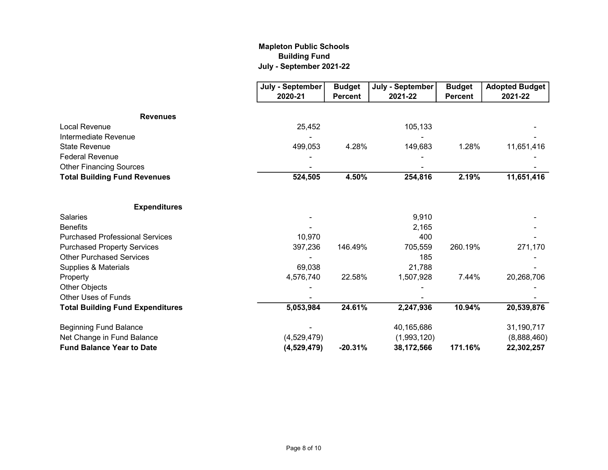## Mapleton Public Schools Building Fund July - September 2021-22

|                                         | July - September | <b>Budget</b>  | July - September | <b>Budget</b>  | <b>Adopted Budget</b> |
|-----------------------------------------|------------------|----------------|------------------|----------------|-----------------------|
|                                         | 2020-21          | <b>Percent</b> | 2021-22          | <b>Percent</b> | 2021-22               |
| <b>Revenues</b>                         |                  |                |                  |                |                       |
| Local Revenue                           | 25,452           |                | 105,133          |                |                       |
| Intermediate Revenue                    |                  |                |                  |                |                       |
| <b>State Revenue</b>                    | 499,053          | 4.28%          | 149,683          | 1.28%          | 11,651,416            |
| <b>Federal Revenue</b>                  |                  |                |                  |                |                       |
| <b>Other Financing Sources</b>          |                  |                |                  |                |                       |
| <b>Total Building Fund Revenues</b>     | 524,505          | 4.50%          | 254,816          | 2.19%          | 11,651,416            |
| <b>Expenditures</b>                     |                  |                |                  |                |                       |
| <b>Salaries</b>                         |                  |                | 9,910            |                |                       |
| <b>Benefits</b>                         |                  |                | 2,165            |                |                       |
| <b>Purchased Professional Services</b>  | 10,970           |                | 400              |                |                       |
| <b>Purchased Property Services</b>      | 397,236          | 146.49%        | 705,559          | 260.19%        | 271,170               |
| <b>Other Purchased Services</b>         |                  |                | 185              |                |                       |
| Supplies & Materials                    | 69,038           |                | 21,788           |                |                       |
| Property                                | 4,576,740        | 22.58%         | 1,507,928        | 7.44%          | 20,268,706            |
| Other Objects                           |                  |                |                  |                |                       |
| Other Uses of Funds                     |                  |                |                  |                |                       |
| <b>Total Building Fund Expenditures</b> | 5,053,984        | 24.61%         | 2,247,936        | 10.94%         | 20,539,876            |
| <b>Beginning Fund Balance</b>           |                  |                | 40,165,686       |                | 31,190,717            |
| Net Change in Fund Balance              | (4,529,479)      |                | (1,993,120)      |                | (8,888,460)           |
| <b>Fund Balance Year to Date</b>        | (4,529,479)      | $-20.31%$      | 38,172,566       | 171.16%        | 22,302,257            |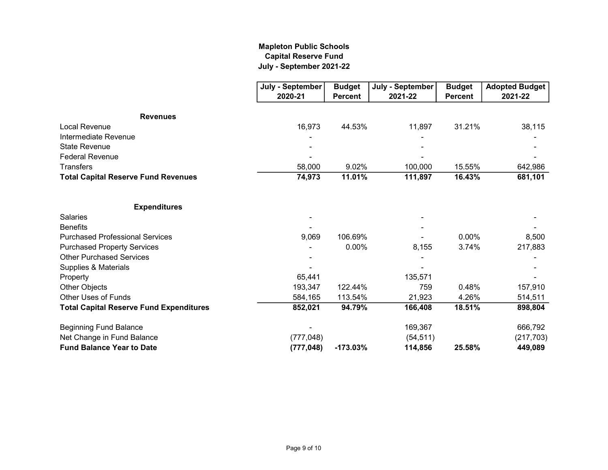## Mapleton Public Schools Capital Reserve Fund July - September 2021-22

|                                                | July - September | <b>Budget</b>  | July - September | <b>Budget</b>  | <b>Adopted Budget</b> |
|------------------------------------------------|------------------|----------------|------------------|----------------|-----------------------|
|                                                | 2020-21          | <b>Percent</b> | 2021-22          | <b>Percent</b> | 2021-22               |
| <b>Revenues</b>                                |                  |                |                  |                |                       |
| <b>Local Revenue</b>                           | 16,973           | 44.53%         | 11,897           | 31.21%         | 38,115                |
| Intermediate Revenue                           |                  |                |                  |                |                       |
| <b>State Revenue</b>                           |                  |                |                  |                |                       |
| <b>Federal Revenue</b>                         |                  |                |                  |                |                       |
| <b>Transfers</b>                               | 58,000           | 9.02%          | 100,000          | 15.55%         | 642,986               |
| <b>Total Capital Reserve Fund Revenues</b>     | 74,973           | 11.01%         | 111,897          | 16.43%         | 681,101               |
| <b>Expenditures</b>                            |                  |                |                  |                |                       |
| <b>Salaries</b>                                |                  |                |                  |                |                       |
| <b>Benefits</b>                                |                  |                |                  |                |                       |
| <b>Purchased Professional Services</b>         | 9,069            | 106.69%        |                  | 0.00%          | 8,500                 |
| <b>Purchased Property Services</b>             |                  | 0.00%          | 8,155            | 3.74%          | 217,883               |
| <b>Other Purchased Services</b>                |                  |                |                  |                |                       |
| Supplies & Materials                           |                  |                |                  |                |                       |
| Property                                       | 65,441           |                | 135,571          |                |                       |
| Other Objects                                  | 193,347          | 122.44%        | 759              | 0.48%          | 157,910               |
| <b>Other Uses of Funds</b>                     | 584,165          | 113.54%        | 21,923           | 4.26%          | 514,511               |
| <b>Total Capital Reserve Fund Expenditures</b> | 852,021          | 94.79%         | 166,408          | 18.51%         | 898,804               |
| <b>Beginning Fund Balance</b>                  |                  |                | 169,367          |                | 666,792               |
| Net Change in Fund Balance                     | (777, 048)       |                | (54, 511)        |                | (217,703)             |
| <b>Fund Balance Year to Date</b>               | (777, 048)       | $-173.03%$     | 114,856          | 25.58%         | 449,089               |